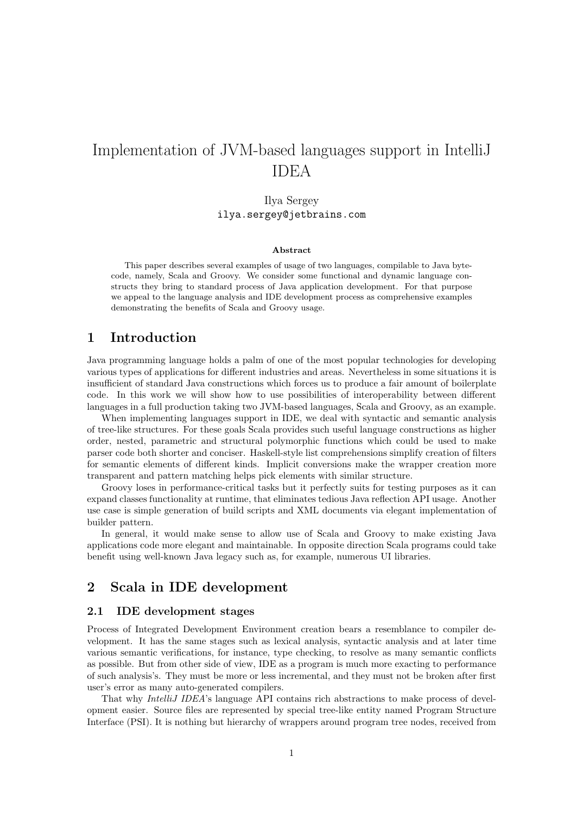# Implementation of JVM-based languages support in IntelliJ IDEA

# Ilya Sergey ilya.sergey@jetbrains.com

#### Abstract

This paper describes several examples of usage of two languages, compilable to Java bytecode, namely, Scala and Groovy. We consider some functional and dynamic language constructs they bring to standard process of Java application development. For that purpose we appeal to the language analysis and IDE development process as comprehensive examples demonstrating the benefits of Scala and Groovy usage.

# 1 Introduction

Java programming language holds a palm of one of the most popular technologies for developing various types of applications for different industries and areas. Nevertheless in some situations it is insufficient of standard Java constructions which forces us to produce a fair amount of boilerplate code. In this work we will show how to use possibilities of interoperability between different languages in a full production taking two JVM-based languages, Scala and Groovy, as an example.

When implementing languages support in IDE, we deal with syntactic and semantic analysis of tree-like structures. For these goals Scala provides such useful language constructions as higher order, nested, parametric and structural polymorphic functions which could be used to make parser code both shorter and conciser. Haskell-style list comprehensions simplify creation of filters for semantic elements of different kinds. Implicit conversions make the wrapper creation more transparent and pattern matching helps pick elements with similar structure.

Groovy loses in performance-critical tasks but it perfectly suits for testing purposes as it can expand classes functionality at runtime, that eliminates tedious Java reflection API usage. Another use case is simple generation of build scripts and XML documents via elegant implementation of builder pattern.

In general, it would make sense to allow use of Scala and Groovy to make existing Java applications code more elegant and maintainable. In opposite direction Scala programs could take benefit using well-known Java legacy such as, for example, numerous UI libraries.

# 2 Scala in IDE development

#### 2.1 IDE development stages

Process of Integrated Development Environment creation bears a resemblance to compiler development. It has the same stages such as lexical analysis, syntactic analysis and at later time various semantic verifications, for instance, type checking, to resolve as many semantic conflicts as possible. But from other side of view, IDE as a program is much more exacting to performance of such analysis's. They must be more or less incremental, and they must not be broken after first user's error as many auto-generated compilers.

That why IntelliJ IDEA's language API contains rich abstractions to make process of development easier. Source files are represented by special tree-like entity named Program Structure Interface (PSI). It is nothing but hierarchy of wrappers around program tree nodes, received from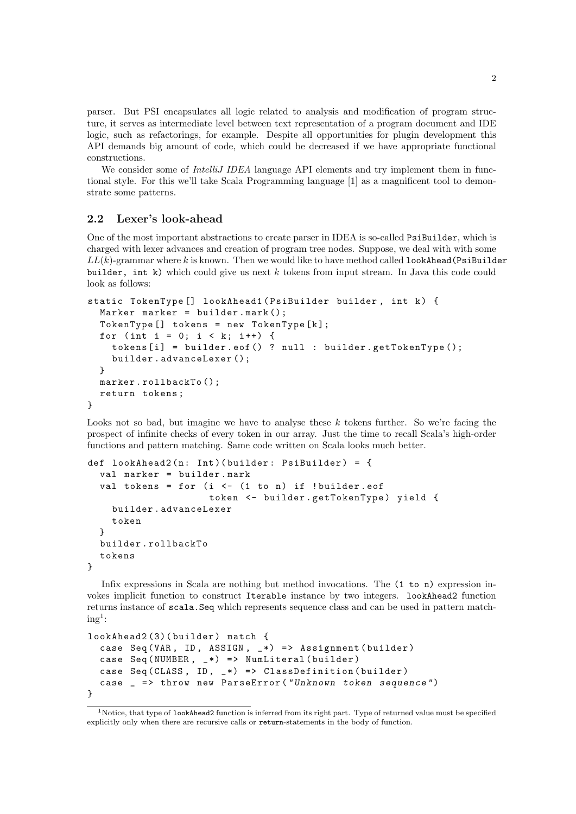parser. But PSI encapsulates all logic related to analysis and modification of program structure, it serves as intermediate level between text representation of a program document and IDE logic, such as refactorings, for example. Despite all opportunities for plugin development this API demands big amount of code, which could be decreased if we have appropriate functional constructions.

We consider some of *IntelliJ IDEA* language API elements and try implement them in functional style. For this we'll take Scala Programming language [1] as a magnificent tool to demonstrate some patterns.

### 2.2 Lexer's look-ahead

One of the most important abstractions to create parser in IDEA is so-called PsiBuilder, which is charged with lexer advances and creation of program tree nodes. Suppose, we deal with with some  $LL(k)$ -grammar where k is known. Then we would like to have method called lookAhead(PsiBuilder builder, int k) which could give us next  $k$  tokens from input stream. In Java this code could look as follows:

```
static TokenType [] lookAhead1 (PsiBuilder builder, int k) {
  Marker marker = builder.mark();
  TokenType [] tokens = new TokenType [k];
  for (int i = 0; i < k; i++) {
    tokens [i] = builder.eof () ? null : builder.getTokenType ();
    builder . advanceLexer ();
  }
  marker.rollbackTo();
  return tokens ;
}
```
Looks not so bad, but imagine we have to analyse these  $k$  tokens further. So we're facing the prospect of infinite checks of every token in our array. Just the time to recall Scala's high-order functions and pattern matching. Same code written on Scala looks much better.

```
def lookAhead2(n: Int)(builder: PsiBuilder) = {
  val marker = builder . mark
  val tokens = for (i \le - (1 to n) if !builder.eof
                     token <- builder.getTokenType) yield {
    builder . advanceLexer
    token
  }
  builder . rollbackTo
  tokens
}
```
Infix expressions in Scala are nothing but method invocations. The  $(1 to n)$  expression invokes implicit function to construct Iterable instance by two integers. lookAhead2 function returns instance of scala.Seq which represents sequence class and can be used in pattern match $ing<sup>1</sup>$ :

```
lookAhead2 (3)( builder ) match {
  case Seq (VAR, ID, ASSIGN, _*) => Assignment (builder)
  case Seq (NUMBER, -*) => NumLiteral (builder)
  case Seq (CLASS, ID, -*) => ClassDefinition (builder)
  case _ = > throw new ParseError (" Unknown token sequence ")
}
```
 $1$ Notice, that type of lookAhead2 function is inferred from its right part. Type of returned value must be specified explicitly only when there are recursive calls or return-statements in the body of function.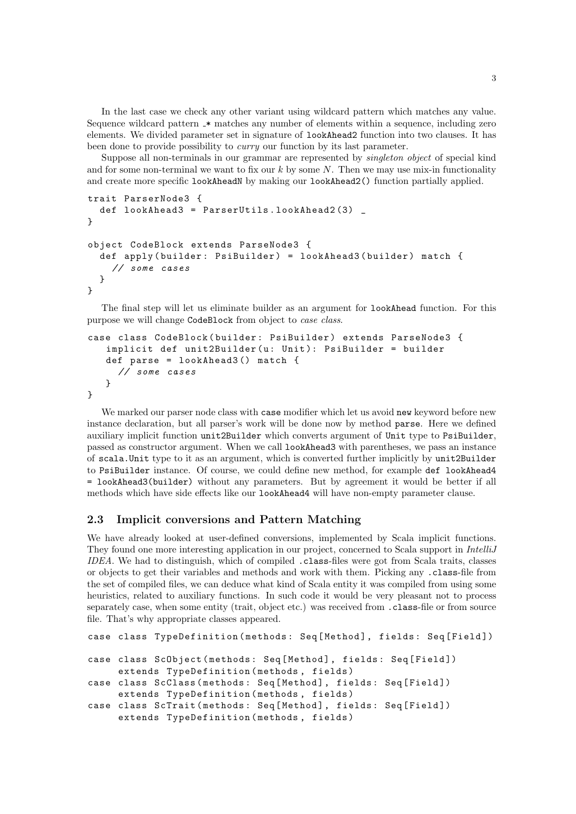In the last case we check any other variant using wildcard pattern which matches any value. Sequence wildcard pattern  $\ast$  matches any number of elements within a sequence, including zero elements. We divided parameter set in signature of lookAhead2 function into two clauses. It has been done to provide possibility to *curry* our function by its last parameter.

Suppose all non-terminals in our grammar are represented by singleton object of special kind and for some non-terminal we want to fix our  $k$  by some  $N$ . Then we may use mix-in functionality and create more specific lookAheadN by making our lookAhead2() function partially applied.

```
trait ParserNode3 {
  def lookAhead3 = ParserUtils . lookAhead2 (3) _
}
object CodeBlock extends ParseNode3 {
  def apply (builder: PsiBuilder) = lookAhead3 (builder) match {
    // some cases
  }
}
```
The final step will let us eliminate builder as an argument for lookAhead function. For this purpose we will change CodeBlock from object to case class.

```
case class CodeBlock ( builder : PsiBuilder ) extends ParseNode3 {
   implicit def unit2Builder (u: Unit): PsiBuilder = builder
   def parse = lookAhead3 () match {
     // some cases
   }
}
```
We marked our parser node class with case modifier which let us avoid new keyword before new instance declaration, but all parser's work will be done now by method parse. Here we defined auxiliary implicit function unit2Builder which converts argument of Unit type to PsiBuilder, passed as constructor argument. When we call lookAhead3 with parentheses, we pass an instance of scala.Unit type to it as an argument, which is converted further implicitly by unit2Builder to PsiBuilder instance. Of course, we could define new method, for example def lookAhead4 = lookAhead3(builder) without any parameters. But by agreement it would be better if all methods which have side effects like our lookAhead4 will have non-empty parameter clause.

### 2.3 Implicit conversions and Pattern Matching

We have already looked at user-defined conversions, implemented by Scala implicit functions. They found one more interesting application in our project, concerned to Scala support in IntelliJ IDEA. We had to distinguish, which of compiled .class-files were got from Scala traits, classes or objects to get their variables and methods and work with them. Picking any .class-file from the set of compiled files, we can deduce what kind of Scala entity it was compiled from using some heuristics, related to auxiliary functions. In such code it would be very pleasant not to process separately case, when some entity (trait, object etc.) was received from .class-file or from source file. That's why appropriate classes appeared.

```
case class TypeDefinition (methods: Seq [Method], fields: Seq [Field])
case class ScObject (methods: Seq [Method], fields: Seq [Field])
     extends TypeDefinition ( methods , fields )
case class ScClass (methods: Seq [Method], fields: Seq [Field])
     extends TypeDefinition ( methods , fields )
case class ScTrait (methods: Seq [Method], fields: Seq [Field])
     extends TypeDefinition ( methods , fields )
```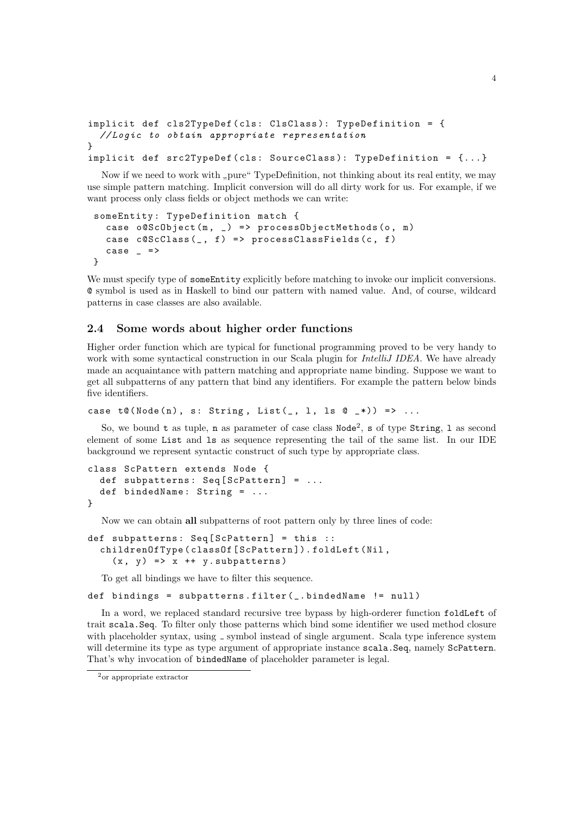```
implicit def cls2TypeDef ( cls : ClsClass ): TypeDefinition = {
  // Logic to obtain appropriate representation
}
implicit def src2TypeDef(cls: SourceClass): TypeDefinition = \{... \}
```
Now if we need to work with "pure" TypeDefinition, not thinking about its real entity, we may<br>simple pattern matching. Implicit convenies will do all dirty work for us. For example, if we use simple pattern matching. Implicit conversion will do all dirty work for us. For example, if we want process only class fields or object methods we can write:

```
someEntity : TypeDefinition match {
  case o@ScObject (m, _) => processObjectMethods (o, m)
  case c@ScClass(\_ , f) => processClassFields(c, f)
  case - =>
}
```
We must specify type of someEntity explicitly before matching to invoke our implicit conversions. @ symbol is used as in Haskell to bind our pattern with named value. And, of course, wildcard patterns in case classes are also available.

### 2.4 Some words about higher order functions

Higher order function which are typical for functional programming proved to be very handy to work with some syntactical construction in our Scala plugin for *IntelliJ IDEA*. We have already made an acquaintance with pattern matching and appropriate name binding. Suppose we want to get all subpatterns of any pattern that bind any identifiers. For example the pattern below binds five identifiers.

case  $t@(Node(n), s: String, List(_, 1, ls @ _*)) => ...$ 

So, we bound t as tuple, n as parameter of case class  $\text{Node}^2$ , s of type String, 1 as second element of some List and ls as sequence representing the tail of the same list. In our IDE background we represent syntactic construct of such type by appropriate class.

```
class ScPattern extends Node {
  def subpatterns: Seq[ScPattern] = ...def bindedName: String = ...
}
```
Now we can obtain all subpatterns of root pattern only by three lines of code:

```
def subpatterns: Seq[ScPattern] = this ::childrenOfType ( classOf [ ScPattern ]). foldLeft ( Nil ,
    (x, y) => x ++ y. subpatterns)
```
To get all bindings we have to filter this sequence.

```
def bindings = subpatterns.filter (_.bindedName != null)
```
In a word, we replaced standard recursive tree bypass by high-orderer function foldLeft of trait scala.Seq. To filter only those patterns which bind some identifier we used method closure with placeholder syntax, using \_ symbol instead of single argument. Scala type inference system will determine its type as type argument of appropriate instance scala. Seq, namely ScPattern. That's why invocation of bindedName of placeholder parameter is legal.

<sup>2</sup>or appropriate extractor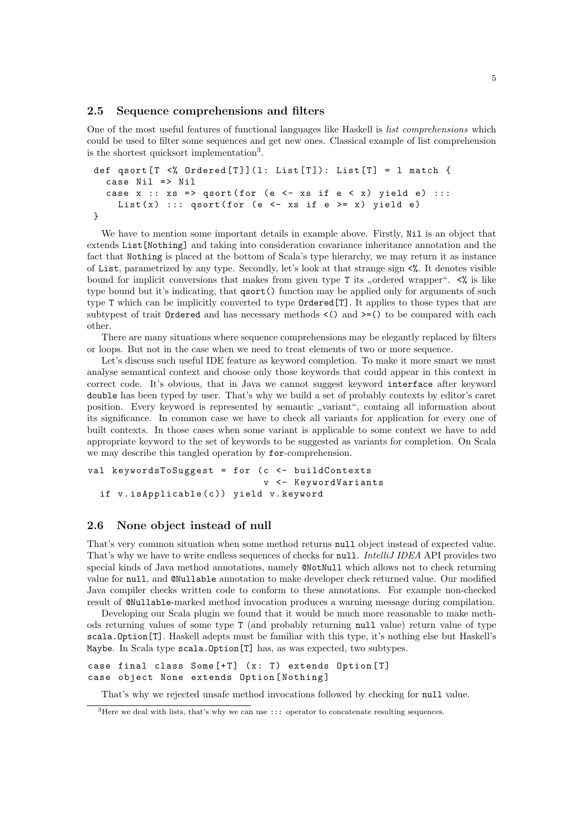#### 2.5 Sequence comprehensions and filters

One of the most useful features of functional languages like Haskell is list comprehensions which could be used to filter some sequences and get new ones. Classical example of list comprehension is the shortest quicksort implementation<sup>3</sup>.

```
def qsort [T \prec \n\% Ordered [T] (1: List[T]): List [T] = 1 match {
  case Nil => Nil
  case x :: xs => qsort (for (e <- xs if e < x) yield e) :::
    List (x) ::: qsort (for (e <- xs if e >= x) yield e)
}
```
We have to mention some important details in example above. Firstly, Nil is an object that extends List[Nothing] and taking into consideration covariance inheritance annotation and the fact that Nothing is placed at the bottom of Scala's type hierarchy, we may return it as instance of List, parametrized by any type. Secondly, let's look at that strange sign  $\langle\% \rangle$ . It denotes visible bound for implicit conversions that makes from given type T its "ordered wrapper".  $\langle \mathcal{E}_t \rangle$  is like type bound but it's indicating, that  $qsort()$  function may be applied only for arguments of such type T which can be implicitly converted to type Ordered[T]. It applies to those types that are subtypest of trait  $Omega$  and has necessary methods  $\langle \rangle$  and  $\rangle = \langle \rangle$  to be compared with each other.

There are many situations where sequence comprehensions may be elegantly replaced by filters or loops. But not in the case when we need to treat elements of two or more sequence.

Let's discuss such useful IDE feature as keyword completion. To make it more smart we must analyse semantical context and choose only those keywords that could appear in this context in correct code. It's obvious, that in Java we cannot suggest keyword interface after keyword double has been typed by user. That's why we build a set of probably contexts by editor's caret position. Every keyword is represented by semantic "variant", containg all information about<br>its similarity one. In common case we have to sheek all unitation for emplication for even one of its significance. In common case we have to check all variants for application for every one of built contexts. In those cases when some variant is applicable to some context we have to add appropriate keyword to the set of keywords to be suggested as variants for completion. On Scala we may describe this tangled operation by for-comprehension.

```
val keywordsToSuggest = for (c \le - buildContexts
                               v <- KeywordVariants
  if v. is Applicable (c)) vield v. keyword
```
### 2.6 None object instead of null

That's very common situation when some method returns null object instead of expected value. That's why we have to write endless sequences of checks for null. IntelliJ IDEA API provides two special kinds of Java method annotations, namely @NotNull which allows not to check returning value for null, and @Nullable annotation to make developer check returned value. Our modified Java compiler checks written code to conform to these annotations. For example non-checked result of @Nullable-marked method invocation produces a warning message during compilation.

Developing our Scala plugin we found that it would be much more reasonable to make methods returning values of some type T (and probably returning null value) return value of type scala.Option[T]. Haskell adepts must be familiar with this type, it's nothing else but Haskell's Maybe. In Scala type scala.Option[T] has, as was expected, two subtypes.

```
case final class Some[-T] (x: T) extends Option [T]
case object None extends Option [ Nothing ]
```
That's why we rejected unsafe method invocations followed by checking for null value.

 $^3{\rm Here}$  we deal with lists, that's why we can use ::: operator to concatenate resulting sequences.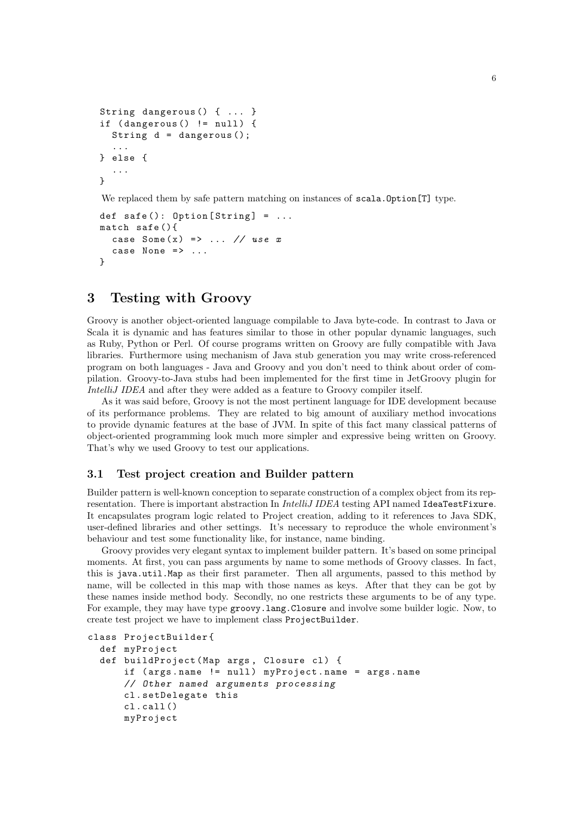```
String dangerous () { ... }
if (dangerous() != null) {
  String d = dangerous ();
  ...
} else {
  ...
}
```
We replaced them by safe pattern matching on instances of scala. Option [T] type.

```
def safe(): 0ption [String] = ...match safe (){
  case Some(x) \Rightarrow ... \neq xcase None \Rightarrow ...
}
```
# 3 Testing with Groovy

Groovy is another object-oriented language compilable to Java byte-code. In contrast to Java or Scala it is dynamic and has features similar to those in other popular dynamic languages, such as Ruby, Python or Perl. Of course programs written on Groovy are fully compatible with Java libraries. Furthermore using mechanism of Java stub generation you may write cross-referenced program on both languages - Java and Groovy and you don't need to think about order of compilation. Groovy-to-Java stubs had been implemented for the first time in JetGroovy plugin for IntelliJ IDEA and after they were added as a feature to Groovy compiler itself.

As it was said before, Groovy is not the most pertinent language for IDE development because of its performance problems. They are related to big amount of auxiliary method invocations to provide dynamic features at the base of JVM. In spite of this fact many classical patterns of object-oriented programming look much more simpler and expressive being written on Groovy. That's why we used Groovy to test our applications.

### 3.1 Test project creation and Builder pattern

Builder pattern is well-known conception to separate construction of a complex object from its representation. There is important abstraction In *IntelliJ IDEA* testing API named IdeaTestFixure. It encapsulates program logic related to Project creation, adding to it references to Java SDK, user-defined libraries and other settings. It's necessary to reproduce the whole environment's behaviour and test some functionality like, for instance, name binding.

Groovy provides very elegant syntax to implement builder pattern. It's based on some principal moments. At first, you can pass arguments by name to some methods of Groovy classes. In fact, this is java.util.Map as their first parameter. Then all arguments, passed to this method by name, will be collected in this map with those names as keys. After that they can be got by these names inside method body. Secondly, no one restricts these arguments to be of any type. For example, they may have type groovy.lang.Closure and involve some builder logic. Now, to create test project we have to implement class ProjectBuilder.

```
class ProjectBuilder {
  def myProject
  def buildProject (Map args, Closure cl) {
      if (args.name != null) myProject.name = args.name
      // Other named arguments processing
      cl . setDelegate this
      cl . call ()
      myProject
```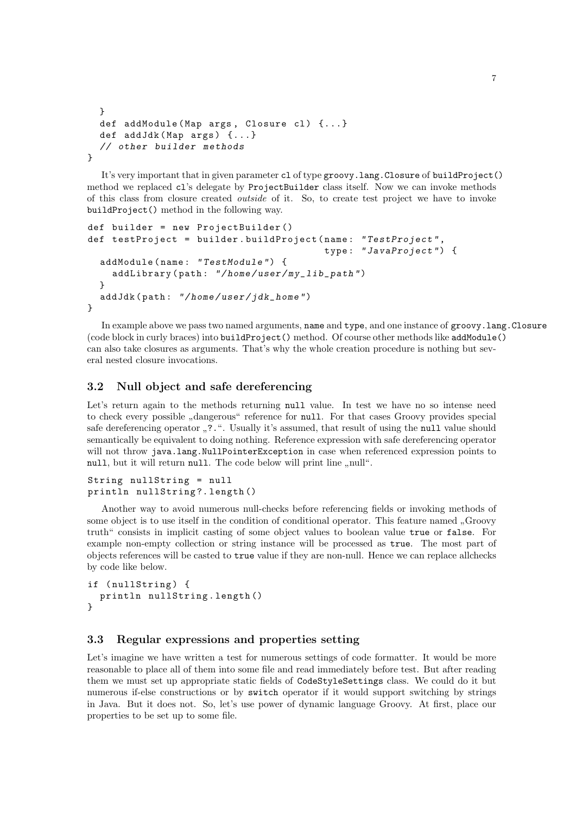```
}
  def addModule (Map args, Closure cl) \{ \ldots \}def addJdk (Map args) {...}
  // other builder methods
}
```
It's very important that in given parameter cl of type groovy.lang.Closure of buildProject() method we replaced cl's delegate by ProjectBuilder class itself. Now we can invoke methods of this class from closure created outside of it. So, to create test project we have to invoke buildProject() method in the following way.

```
def builder = new ProjectBuilder ()
def testProject = builder . buildProject ( name : " TestProject ",
                                           type : " JavaProject ") {
  addModule ( name : " TestModule ") {
    addLibrary (path: "/home/user/my_lib_path")
  }
  addJdk (path: "/home/user/jdk_home")
}
```
In example above we pass two named arguments, name and type, and one instance of groovy.lang.Closure (code block in curly braces) into buildProject() method. Of course other methods like addModule() can also take closures as arguments. That's why the whole creation procedure is nothing but several nested closure invocations.

## 3.2 Null object and safe dereferencing

Let's return again to the methods returning null value. In test we have no so intense need to check every possible "dangerous" reference for null. For that cases Groovy provides special<br>references as well as the special distance of the special distance of the special special as the special safe dereferencing operator "...". Usually it's assumed, that result of using the null value should semantically be equivalent to doing nothing. Reference expression with safe dereferencing operator will not throw java.lang.NullPointerException in case when referenced expression points to null, but it will return null. The code below will print line "null".

```
String nullString = null
println nullString ?. length ()
```
Another way to avoid numerous null-checks before referencing fields or invoking methods of some object is to use itself in the condition of conditional operator. This feature named "Groovy truth" consists in implicit casting of some object values to boolean value true or false. For example non-empty collection or string instance will be processed as true. The most part of objects references will be casted to true value if they are non-null. Hence we can replace allchecks by code like below.

```
if (nullString) {
  println nullString . length ()
}
```
### 3.3 Regular expressions and properties setting

Let's imagine we have written a test for numerous settings of code formatter. It would be more reasonable to place all of them into some file and read immediately before test. But after reading them we must set up appropriate static fields of CodeStyleSettings class. We could do it but numerous if-else constructions or by switch operator if it would support switching by strings in Java. But it does not. So, let's use power of dynamic language Groovy. At first, place our properties to be set up to some file.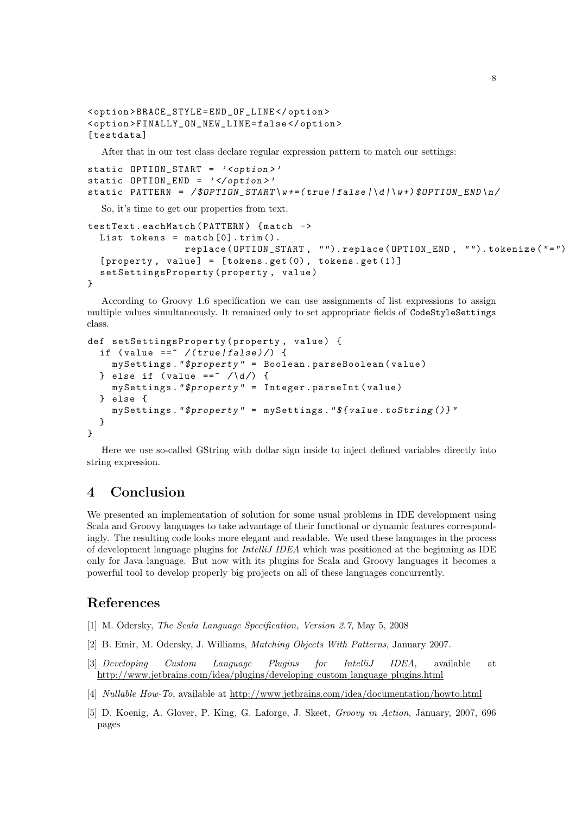```
< option > BRACE_STYLE = END_OF_LINE </ option >
< option > FINALLY_ON_NEW_LINE = false </ option >
[testdata]
```
After that in our test class declare regular expression pattern to match our settings:

```
static OPTION_START = ' < option > '
static OPTION_END = ' </option>'
static PATTERN = /$OPTION_START\w+=(true | false | \ d | \ w +) $OPTION_END \n/
```
So, it's time to get our properties from text.

```
testText . eachMatch ( PATTERN ) { match ->
  List tokens = match[0].trim().
                 replace (OPTION_START, "").replace (OPTION_END, "").tokenize ("=")
  [properity, value] = [tokens.get(0), tokens.get(1)]
  setSettingsProperty ( property , value )
}
```
According to Groovy 1.6 specification we can use assignments of list expressions to assign multiple values simultaneously. It remained only to set appropriate fields of CodeStyleSettings class.

```
def setSettingsProperty ( property , value ) {
  if (value ==\sqrt{(true|false)}/) {
    mySettings ." $property " = Boolean . parseBoolean ( value )
  } else if (value ==\sim /\d/) {
    mySettings ." $property " = Integer . parseInt ( value )
  } else {
    mySettings ." $property " = mySettings ." $ { value . toString ()} "
  }
}
```
Here we use so-called GString with dollar sign inside to inject defined variables directly into string expression.

# 4 Conclusion

We presented an implementation of solution for some usual problems in IDE development using Scala and Groovy languages to take advantage of their functional or dynamic features correspondingly. The resulting code looks more elegant and readable. We used these languages in the process of development language plugins for IntelliJ IDEA which was positioned at the beginning as IDE only for Java language. But now with its plugins for Scala and Groovy languages it becomes a powerful tool to develop properly big projects on all of these languages concurrently.

# References

- [1] M. Odersky, The Scala Language Specification, Version 2.7, May 5, 2008
- [2] B. Emir, M. Odersky, J. Williams, Matching Objects With Patterns, January 2007.
- [3] Developing Custom Language Plugins for IntelliJ IDEA, available at http://www.jetbrains.com/idea/plugins/developing custom language plugins.html
- [4] Nullable How-To, available at http://www.jetbrains.com/idea/documentation/howto.html
- [5] D. Koenig, A. Glover, P. King, G. Laforge, J. Skeet, Groovy in Action, January, 2007, 696 pages